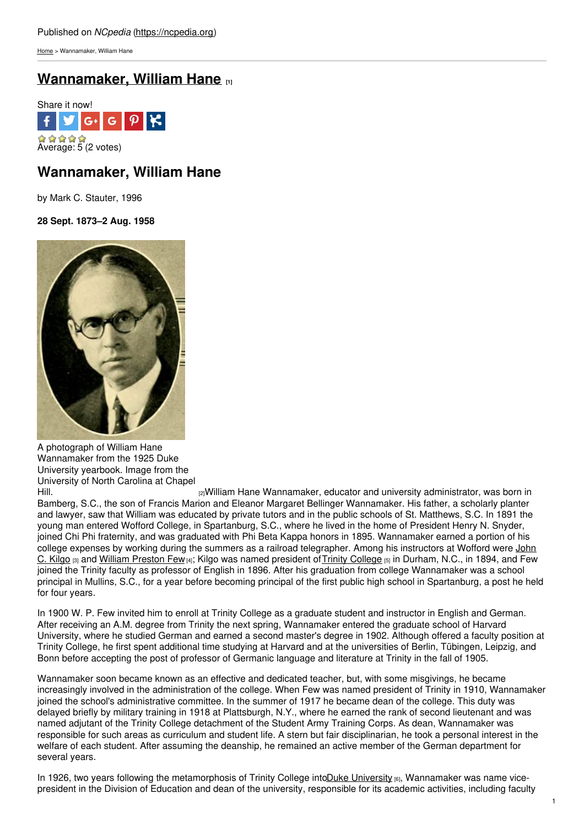[Home](https://ncpedia.org/) > Wannamaker, William Hane

## **[Wannamaker,](https://ncpedia.org/biography/wannamaker-william-hane) William Hane [1]**



# **Wannamaker, William Hane**

by Mark C. Stauter, 1996

**28 Sept. 1873–2 Aug. 1958**



A photograph of William Hane Wannamaker from the 1925 Duke University yearbook. Image from the University of North Carolina at Chapel

[Hill.](http://library.digitalnc.org/cdm/ref/collection/yearbooks/id/1738) [2]William Hane Wannamaker, educator and university administrator, was born in Bamberg, S.C., the son of Francis Marion and Eleanor Margaret Bellinger Wannamaker. His father, a scholarly planter and lawyer, saw that William was educated by private tutors and in the public schools of St. Matthews, S.C. In 1891 the young man entered Wofford College, in Spartanburg, S.C., where he lived in the home of President Henry N. Snyder, joined Chi Phi fraternity, and was graduated with Phi Beta Kappa honors in 1895. Wannamaker earned a portion of his college expenses by working during the summers as a railroad [telegrapher.](https://ncpedia.org/biography/kilgo-john-carlisle) Among his instructors at Wofford were John C. Kilgo [3] and William [Preston](https://ncpedia.org/biography/few-william-preston) Few [4]; Kilgo was named president of Trinity [College](https://ncpedia.org/trinity-college) [5] in Durham, N.C., in 1894, and Few joined the Trinity faculty as professor of English in 1896. After his graduation from college Wannamaker was a school principal in Mullins, S.C., for a year before becoming principal of the first public high school in Spartanburg, a post he held for four years.

In 1900 W. P. Few invited him to enroll at Trinity College as a graduate student and instructor in English and German. After receiving an A.M. degree from Trinity the next spring, Wannamaker entered the graduate school of Harvard University, where he studied German and earned a second master's degree in 1902. Although offered a faculty position at Trinity College, he first spent additional time studying at Harvard and at the universities of Berlin, Tübingen, Leipzig, and Bonn before accepting the post of professor of Germanic language and literature at Trinity in the fall of 1905.

Wannamaker soon became known as an effective and dedicated teacher, but, with some misgivings, he became increasingly involved in the administration of the college. When Few was named president of Trinity in 1910, Wannamaker joined the school's administrative committee. In the summer of 1917 he became dean of the college. This duty was delayed briefly by military training in 1918 at Plattsburgh, N.Y., where he earned the rank of second lieutenant and was named adjutant of the Trinity College detachment of the Student Army Training Corps. As dean, Wannamaker was responsible for such areas as curriculum and student life. A stern but fair disciplinarian, he took a personal interest in the welfare of each student. After assuming the deanship, he remained an active member of the German department for several years.

In 1926, two years following the metamorphosis of Trinity College into Duke [University](https://ncpedia.org/duke-university) [6], Wannamaker was name vicepresident in the Division of Education and dean of the university, responsible for its academic activities, including faculty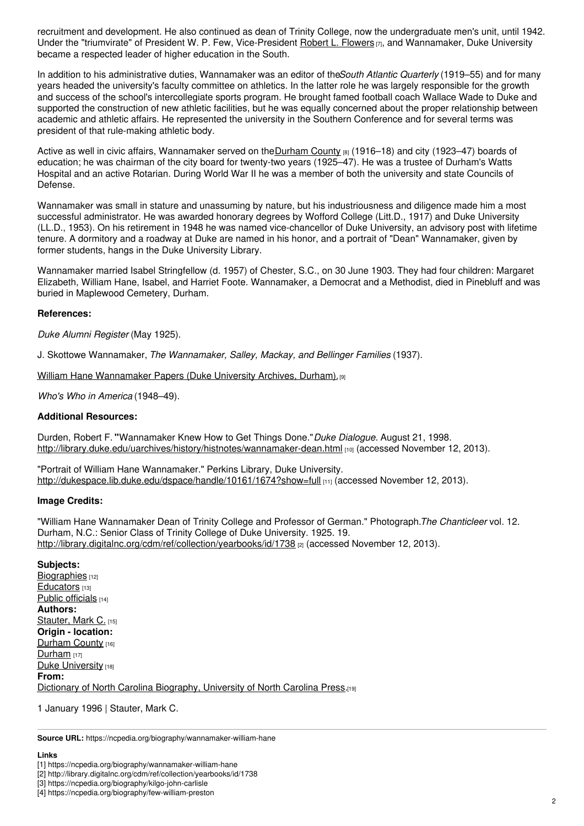recruitment and development. He also continued as dean of Trinity College, now the undergraduate men's unit, until 1942. Under the "triumvirate" of President W. P. Few, Vice-President Robert L. [Flowers](https://ncpedia.org/biography/flowers-robert-lee) [7], and Wannamaker, Duke University became a respected leader of higher education in the South.

In addition to his administrative duties, Wannamaker was an editor of the*South Atlantic Quarterly* (1919–55) and for many years headed the university's faculty committee on athletics. In the latter role he was largely responsible for the growth and success of the school's intercollegiate sports program. He brought famed football coach Wallace Wade to Duke and supported the construction of new athletic facilities, but he was equally concerned about the proper relationship between academic and athletic affairs. He represented the university in the Southern Conference and for several terms was president of that rule-making athletic body.

Active as well in civic affairs, Wannamaker served on the [Durham](https://ncpedia.org/geography/durham) County <sup>8</sup> (1916–18) and city (1923–47) boards of education; he was chairman of the city board for twenty-two years (1925–47). He was a trustee of Durham's Watts Hospital and an active Rotarian. During World War II he was a member of both the university and state Councils of Defense.

Wannamaker was small in stature and unassuming by nature, but his industriousness and diligence made him a most successful administrator. He was awarded honorary degrees by Wofford College (Litt.D., 1917) and Duke University (LL.D., 1953). On his retirement in 1948 he was named vice-chancellor of Duke University, an advisory post with lifetime tenure. A dormitory and a roadway at Duke are named in his honor, and a portrait of "Dean" Wannamaker, given by former students, hangs in the Duke University Library.

Wannamaker married Isabel Stringfellow (d. 1957) of Chester, S.C., on 30 June 1903. They had four children: Margaret Elizabeth, William Hane, Isabel, and Harriet Foote. Wannamaker, a Democrat and a Methodist, died in Pinebluff and was buried in Maplewood Cemetery, Durham.

#### **References:**

*Duke Alumni Register* (May 1925).

J. Skottowe Wannamaker, *The Wannamaker, Salley, Mackay, and Bellinger Families* (1937).

William Hane [Wannamaker](http://library.duke.edu/rubenstein/findingaids/uawanna/) Papers (Duke University Archives, Durham). [9]

*Who's Who in America* (1948–49).

#### **Additional Resources:**

Durden, Robert F. **"**Wannamaker Knew How to Get Things Done."*Duke Dialogue.* August 21, 1998. <http://library.duke.edu/uarchives/history/histnotes/wannamaker-dean.html> [10] (accessed November 12, 2013).

"Portrait of William Hane Wannamaker." Perkins Library, Duke University. <http://dukespace.lib.duke.edu/dspace/handle/10161/1674?show=full> [11] (accessed November 12, 2013).

#### **Image Credits:**

"William Hane Wannamaker Dean of Trinity College and Professor of German." Photograph.*The Chanticleer* vol. 12. Durham, N.C.: Senior Class of Trinity College of Duke University. 1925. 19. <http://library.digitalnc.org/cdm/ref/collection/yearbooks/id/1738> [2] (accessed November 12, 2013).

### **Subjects:**

[Biographies](https://ncpedia.org/category/subjects/biography-term) [12] [Educators](https://ncpedia.org/category/subjects/educators) [13] Public [officials](https://ncpedia.org/category/subjects/public-officials) [14] **Authors:** [Stauter,](https://ncpedia.org/category/authors/stauter-mark-c) Mark C. [15] **Origin - location:** [Durham](https://ncpedia.org/category/origin-location/piedmont/d) County [16] [Durham](https://ncpedia.org/category/origin-location/piedmont-8)  $[17]$ Duke [University](https://ncpedia.org/category/origin-location/piedmon-34) [18] **From:** Dictionary of North Carolina [Biography,](https://ncpedia.org/category/entry-source/dictionary-no) University of North Carolina Press.[19]

1 January 1996 | Stauter, Mark C.

**Source URL:** https://ncpedia.org/biography/wannamaker-william-hane

#### **Links**

<sup>[1]</sup> https://ncpedia.org/biography/wannamaker-william-hane

<sup>[2]</sup> http://library.digitalnc.org/cdm/ref/collection/yearbooks/id/1738

<sup>[3]</sup> https://ncpedia.org/biography/kilgo-john-carlisle

<sup>[4]</sup> https://ncpedia.org/biography/few-william-preston